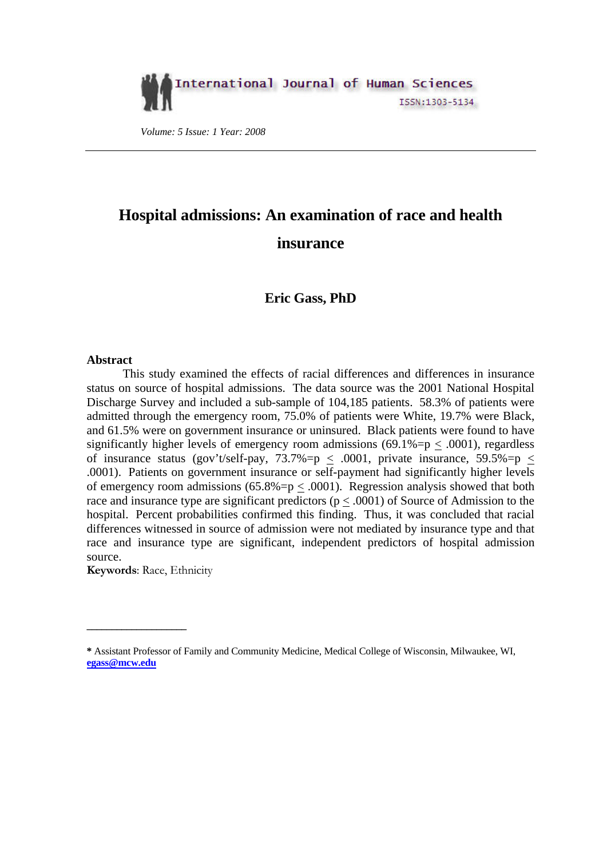

 *Volume: 5 Issue: 1 Year: 2008* 

# **Hospital admissions: An examination of race and health insurance**

### **Eric Gass, PhD**

### **Abstract**

This study examined the effects of racial differences and differences in insurance status on source of hospital admissions. The data source was the 2001 National Hospital Discharge Survey and included a sub-sample of 104,185 patients. 58.3% of patients were admitted through the emergency room, 75.0% of patients were White, 19.7% were Black, and 61.5% were on government insurance or uninsured. Black patients were found to have significantly higher levels of emergency room admissions  $(69.1\% = p < .0001)$ , regardless of insurance status (gov't/self-pay, 73.7%=p  $\leq$  .0001, private insurance, 59.5%=p  $\leq$ .0001). Patients on government insurance or self-payment had significantly higher levels of emergency room admissions (65.8%= $p \leq .0001$ ). Regression analysis showed that both race and insurance type are significant predictors ( $p < .0001$ ) of Source of Admission to the hospital. Percent probabilities confirmed this finding. Thus, it was concluded that racial differences witnessed in source of admission were not mediated by insurance type and that race and insurance type are significant, independent predictors of hospital admission source.

**Keywords**: Race, Ethnicity

**\_\_\_\_\_\_\_\_\_\_\_\_\_\_\_\_\_\_\_\_** 

**<sup>\*</sup>** Assistant Professor of Family and Community Medicine, Medical College of Wisconsin, Milwaukee, WI, **[egass@mcw.edu](mailto:egass@mcw.edu)**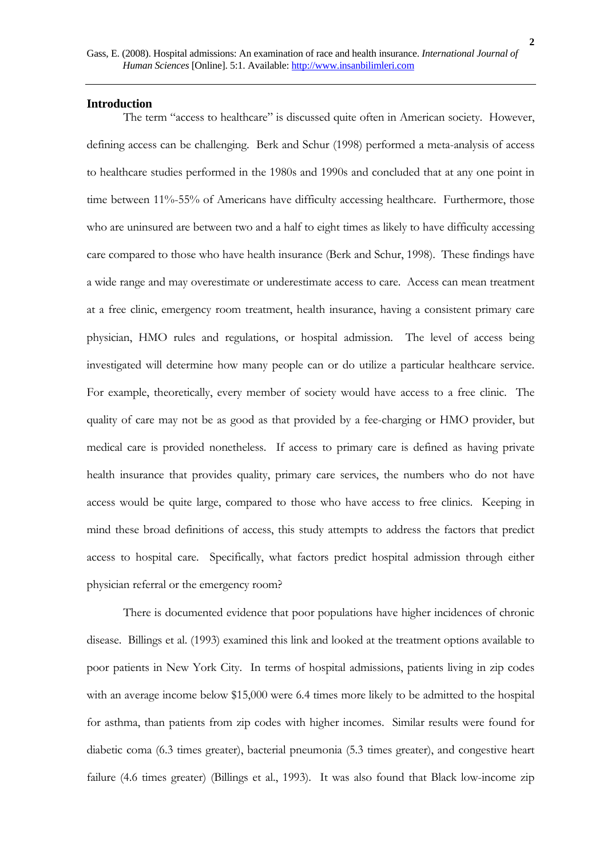#### **Introduction**

The term "access to healthcare" is discussed quite often in American society. However, defining access can be challenging. Berk and Schur (1998) performed a meta-analysis of access to healthcare studies performed in the 1980s and 1990s and concluded that at any one point in time between 11%-55% of Americans have difficulty accessing healthcare. Furthermore, those who are uninsured are between two and a half to eight times as likely to have difficulty accessing care compared to those who have health insurance (Berk and Schur, 1998). These findings have a wide range and may overestimate or underestimate access to care. Access can mean treatment at a free clinic, emergency room treatment, health insurance, having a consistent primary care physician, HMO rules and regulations, or hospital admission. The level of access being investigated will determine how many people can or do utilize a particular healthcare service. For example, theoretically, every member of society would have access to a free clinic. The quality of care may not be as good as that provided by a fee-charging or HMO provider, but medical care is provided nonetheless. If access to primary care is defined as having private health insurance that provides quality, primary care services, the numbers who do not have access would be quite large, compared to those who have access to free clinics. Keeping in mind these broad definitions of access, this study attempts to address the factors that predict access to hospital care. Specifically, what factors predict hospital admission through either physician referral or the emergency room?

There is documented evidence that poor populations have higher incidences of chronic disease. Billings et al. (1993) examined this link and looked at the treatment options available to poor patients in New York City. In terms of hospital admissions, patients living in zip codes with an average income below \$15,000 were 6.4 times more likely to be admitted to the hospital for asthma, than patients from zip codes with higher incomes. Similar results were found for diabetic coma (6.3 times greater), bacterial pneumonia (5.3 times greater), and congestive heart failure (4.6 times greater) (Billings et al., 1993). It was also found that Black low-income zip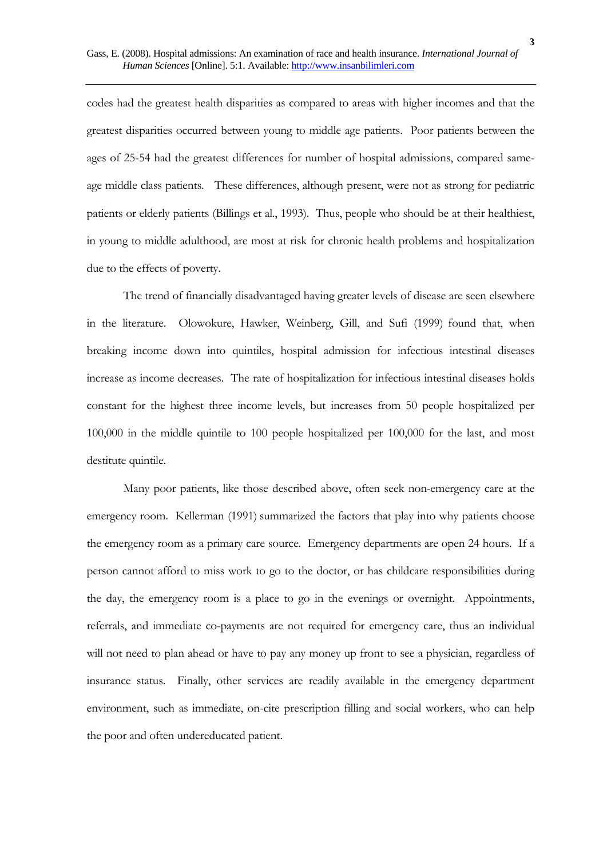codes had the greatest health disparities as compared to areas with higher incomes and that the greatest disparities occurred between young to middle age patients. Poor patients between the ages of 25-54 had the greatest differences for number of hospital admissions, compared sameage middle class patients. These differences, although present, were not as strong for pediatric patients or elderly patients (Billings et al., 1993). Thus, people who should be at their healthiest, in young to middle adulthood, are most at risk for chronic health problems and hospitalization due to the effects of poverty.

The trend of financially disadvantaged having greater levels of disease are seen elsewhere in the literature. Olowokure, Hawker, Weinberg, Gill, and Sufi (1999) found that, when breaking income down into quintiles, hospital admission for infectious intestinal diseases increase as income decreases. The rate of hospitalization for infectious intestinal diseases holds constant for the highest three income levels, but increases from 50 people hospitalized per 100,000 in the middle quintile to 100 people hospitalized per 100,000 for the last, and most destitute quintile.

Many poor patients, like those described above, often seek non-emergency care at the emergency room. Kellerman (1991) summarized the factors that play into why patients choose the emergency room as a primary care source. Emergency departments are open 24 hours. If a person cannot afford to miss work to go to the doctor, or has childcare responsibilities during the day, the emergency room is a place to go in the evenings or overnight. Appointments, referrals, and immediate co-payments are not required for emergency care, thus an individual will not need to plan ahead or have to pay any money up front to see a physician, regardless of insurance status. Finally, other services are readily available in the emergency department environment, such as immediate, on-cite prescription filling and social workers, who can help the poor and often undereducated patient.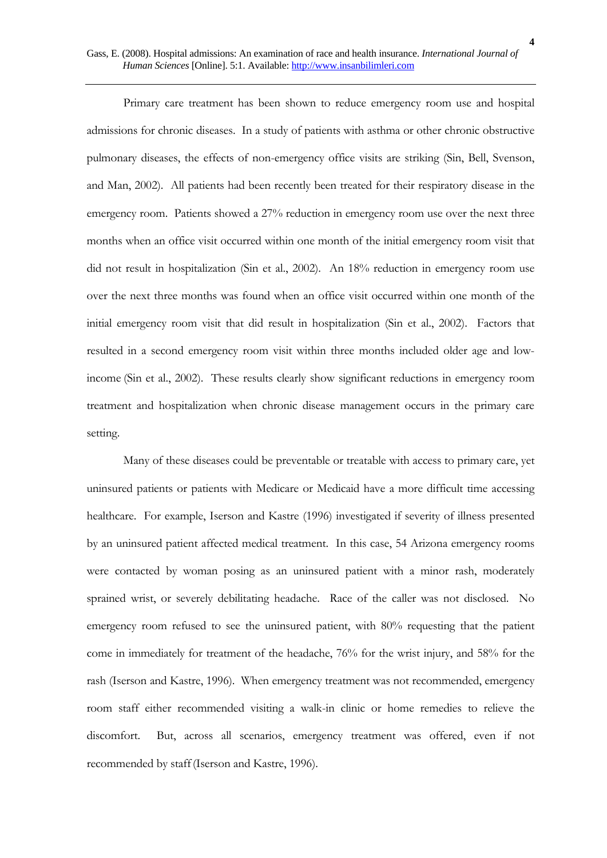Primary care treatment has been shown to reduce emergency room use and hospital admissions for chronic diseases. In a study of patients with asthma or other chronic obstructive pulmonary diseases, the effects of non-emergency office visits are striking (Sin, Bell, Svenson, and Man, 2002). All patients had been recently been treated for their respiratory disease in the emergency room. Patients showed a 27% reduction in emergency room use over the next three months when an office visit occurred within one month of the initial emergency room visit that did not result in hospitalization (Sin et al., 2002). An 18% reduction in emergency room use over the next three months was found when an office visit occurred within one month of the initial emergency room visit that did result in hospitalization (Sin et al., 2002). Factors that resulted in a second emergency room visit within three months included older age and lowincome (Sin et al., 2002). These results clearly show significant reductions in emergency room treatment and hospitalization when chronic disease management occurs in the primary care setting.

Many of these diseases could be preventable or treatable with access to primary care, yet uninsured patients or patients with Medicare or Medicaid have a more difficult time accessing healthcare. For example, Iserson and Kastre (1996) investigated if severity of illness presented by an uninsured patient affected medical treatment. In this case, 54 Arizona emergency rooms were contacted by woman posing as an uninsured patient with a minor rash, moderately sprained wrist, or severely debilitating headache. Race of the caller was not disclosed. No emergency room refused to see the uninsured patient, with 80% requesting that the patient come in immediately for treatment of the headache, 76% for the wrist injury, and 58% for the rash (Iserson and Kastre, 1996). When emergency treatment was not recommended, emergency room staff either recommended visiting a walk-in clinic or home remedies to relieve the discomfort. But, across all scenarios, emergency treatment was offered, even if not recommended by staff(Iserson and Kastre, 1996).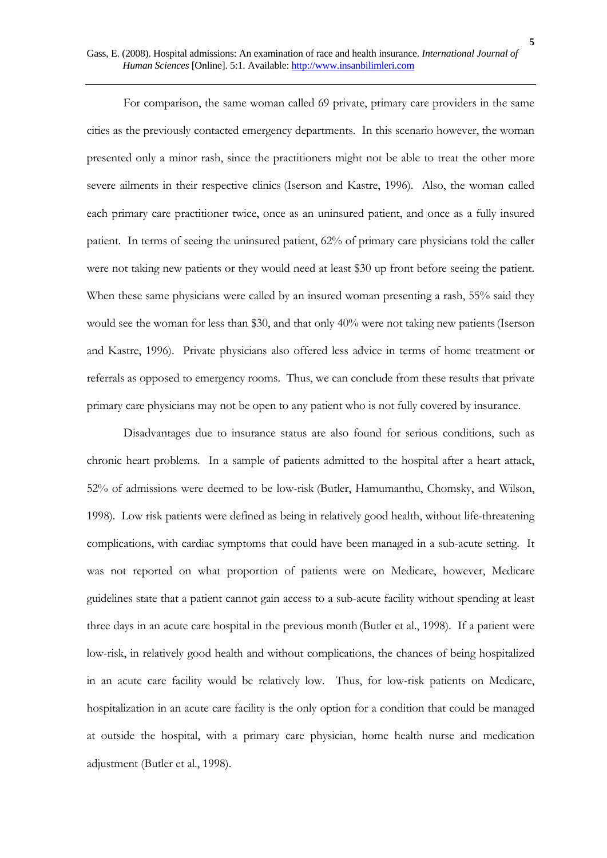For comparison, the same woman called 69 private, primary care providers in the same cities as the previously contacted emergency departments. In this scenario however, the woman presented only a minor rash, since the practitioners might not be able to treat the other more severe ailments in their respective clinics (Iserson and Kastre, 1996). Also, the woman called each primary care practitioner twice, once as an uninsured patient, and once as a fully insured patient. In terms of seeing the uninsured patient, 62% of primary care physicians told the caller were not taking new patients or they would need at least \$30 up front before seeing the patient. When these same physicians were called by an insured woman presenting a rash, 55% said they would see the woman for less than \$30, and that only 40% were not taking new patients(Iserson and Kastre, 1996). Private physicians also offered less advice in terms of home treatment or referrals as opposed to emergency rooms. Thus, we can conclude from these results that private primary care physicians may not be open to any patient who is not fully covered by insurance.

Disadvantages due to insurance status are also found for serious conditions, such as chronic heart problems. In a sample of patients admitted to the hospital after a heart attack, 52% of admissions were deemed to be low-risk (Butler, Hamumanthu, Chomsky, and Wilson, 1998). Low risk patients were defined as being in relatively good health, without life-threatening complications, with cardiac symptoms that could have been managed in a sub-acute setting. It was not reported on what proportion of patients were on Medicare, however, Medicare guidelines state that a patient cannot gain access to a sub-acute facility without spending at least three days in an acute care hospital in the previous month (Butler et al., 1998). If a patient were low-risk, in relatively good health and without complications, the chances of being hospitalized in an acute care facility would be relatively low. Thus, for low-risk patients on Medicare, hospitalization in an acute care facility is the only option for a condition that could be managed at outside the hospital, with a primary care physician, home health nurse and medication adjustment (Butler et al., 1998).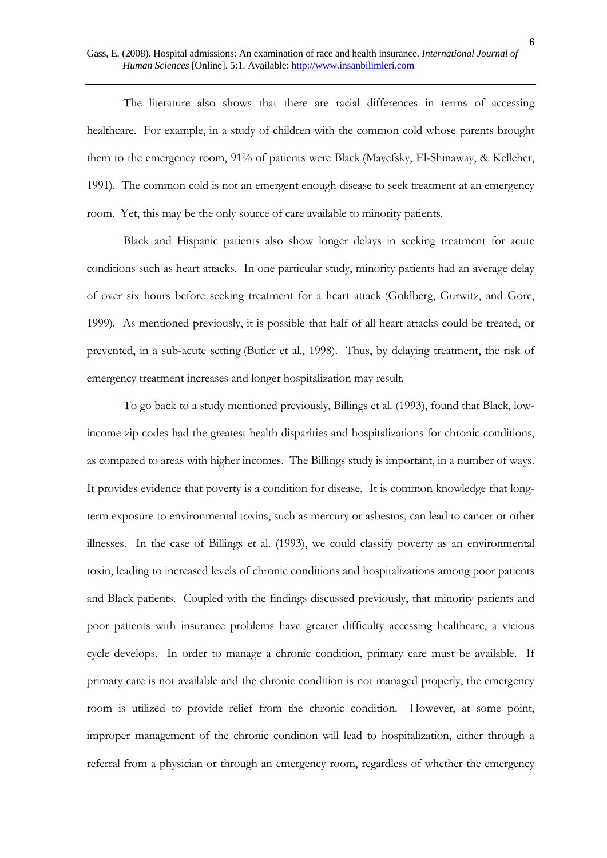The literature also shows that there are racial differences in terms of accessing healthcare. For example, in a study of children with the common cold whose parents brought them to the emergency room, 91% of patients were Black (Mayefsky, El-Shinaway, & Kelleher, 1991). The common cold is not an emergent enough disease to seek treatment at an emergency room. Yet, this may be the only source of care available to minority patients.

Black and Hispanic patients also show longer delays in seeking treatment for acute conditions such as heart attacks. In one particular study, minority patients had an average delay of over six hours before seeking treatment for a heart attack (Goldberg, Gurwitz, and Gore, 1999). As mentioned previously, it is possible that half of all heart attacks could be treated, or prevented, in a sub-acute setting (Butler et al., 1998). Thus, by delaying treatment, the risk of emergency treatment increases and longer hospitalization may result.

To go back to a study mentioned previously, Billings et al. (1993), found that Black, lowincome zip codes had the greatest health disparities and hospitalizations for chronic conditions, as compared to areas with higher incomes. The Billings study is important, in a number of ways. It provides evidence that poverty is a condition for disease. It is common knowledge that longterm exposure to environmental toxins, such as mercury or asbestos, can lead to cancer or other illnesses. In the case of Billings et al. (1993), we could classify poverty as an environmental toxin, leading to increased levels of chronic conditions and hospitalizations among poor patients and Black patients. Coupled with the findings discussed previously, that minority patients and poor patients with insurance problems have greater difficulty accessing healthcare, a vicious cycle develops. In order to manage a chronic condition, primary care must be available. If primary care is not available and the chronic condition is not managed properly, the emergency room is utilized to provide relief from the chronic condition. However, at some point, improper management of the chronic condition will lead to hospitalization, either through a referral from a physician or through an emergency room, regardless of whether the emergency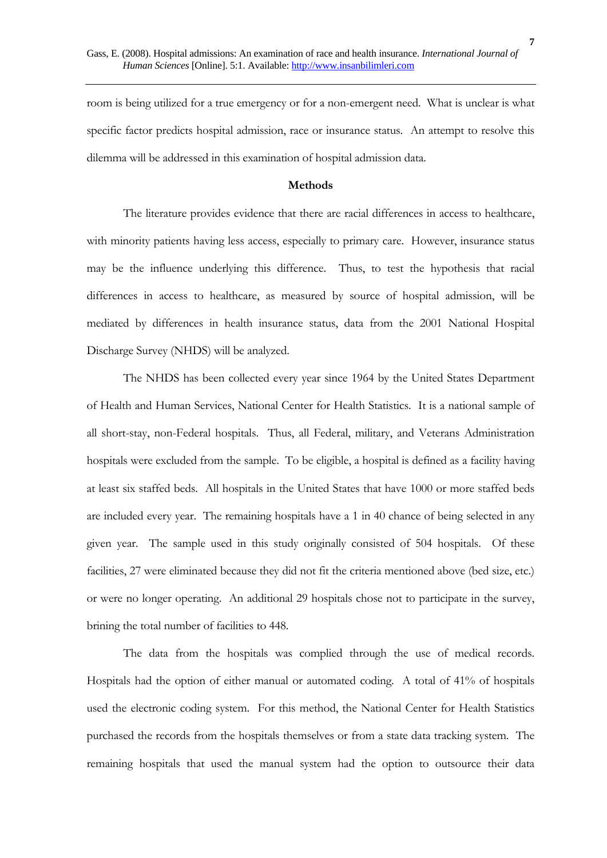room is being utilized for a true emergency or for a non-emergent need. What is unclear is what specific factor predicts hospital admission, race or insurance status. An attempt to resolve this dilemma will be addressed in this examination of hospital admission data.

### **Methods**

The literature provides evidence that there are racial differences in access to healthcare, with minority patients having less access, especially to primary care. However, insurance status may be the influence underlying this difference. Thus, to test the hypothesis that racial differences in access to healthcare, as measured by source of hospital admission, will be mediated by differences in health insurance status, data from the 2001 National Hospital Discharge Survey (NHDS) will be analyzed.

The NHDS has been collected every year since 1964 by the United States Department of Health and Human Services, National Center for Health Statistics. It is a national sample of all short-stay, non-Federal hospitals. Thus, all Federal, military, and Veterans Administration hospitals were excluded from the sample. To be eligible, a hospital is defined as a facility having at least six staffed beds. All hospitals in the United States that have 1000 or more staffed beds are included every year. The remaining hospitals have a 1 in 40 chance of being selected in any given year. The sample used in this study originally consisted of 504 hospitals. Of these facilities, 27 were eliminated because they did not fit the criteria mentioned above (bed size, etc.) or were no longer operating. An additional 29 hospitals chose not to participate in the survey, brining the total number of facilities to 448.

The data from the hospitals was complied through the use of medical records. Hospitals had the option of either manual or automated coding. A total of 41% of hospitals used the electronic coding system. For this method, the National Center for Health Statistics purchased the records from the hospitals themselves or from a state data tracking system. The remaining hospitals that used the manual system had the option to outsource their data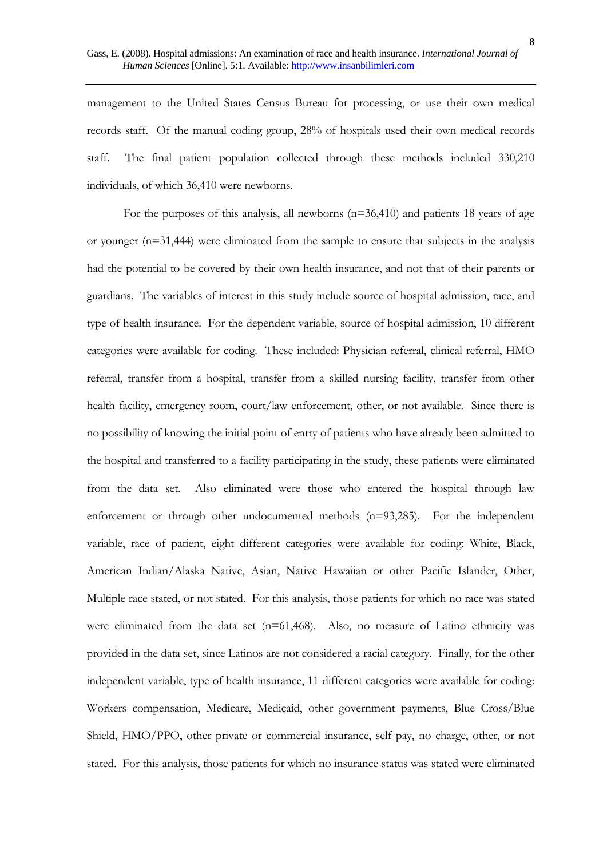management to the United States Census Bureau for processing, or use their own medical records staff. Of the manual coding group, 28% of hospitals used their own medical records staff. The final patient population collected through these methods included 330,210 individuals, of which 36,410 were newborns.

For the purposes of this analysis, all newborns (n=36,410) and patients 18 years of age or younger (n=31,444) were eliminated from the sample to ensure that subjects in the analysis had the potential to be covered by their own health insurance, and not that of their parents or guardians. The variables of interest in this study include source of hospital admission, race, and type of health insurance. For the dependent variable, source of hospital admission, 10 different categories were available for coding. These included: Physician referral, clinical referral, HMO referral, transfer from a hospital, transfer from a skilled nursing facility, transfer from other health facility, emergency room, court/law enforcement, other, or not available. Since there is no possibility of knowing the initial point of entry of patients who have already been admitted to the hospital and transferred to a facility participating in the study, these patients were eliminated from the data set. Also eliminated were those who entered the hospital through law enforcement or through other undocumented methods (n=93,285). For the independent variable, race of patient, eight different categories were available for coding: White, Black, American Indian/Alaska Native, Asian, Native Hawaiian or other Pacific Islander, Other, Multiple race stated, or not stated. For this analysis, those patients for which no race was stated were eliminated from the data set (n=61,468). Also, no measure of Latino ethnicity was provided in the data set, since Latinos are not considered a racial category. Finally, for the other independent variable, type of health insurance, 11 different categories were available for coding: Workers compensation, Medicare, Medicaid, other government payments, Blue Cross/Blue Shield, HMO/PPO, other private or commercial insurance, self pay, no charge, other, or not stated. For this analysis, those patients for which no insurance status was stated were eliminated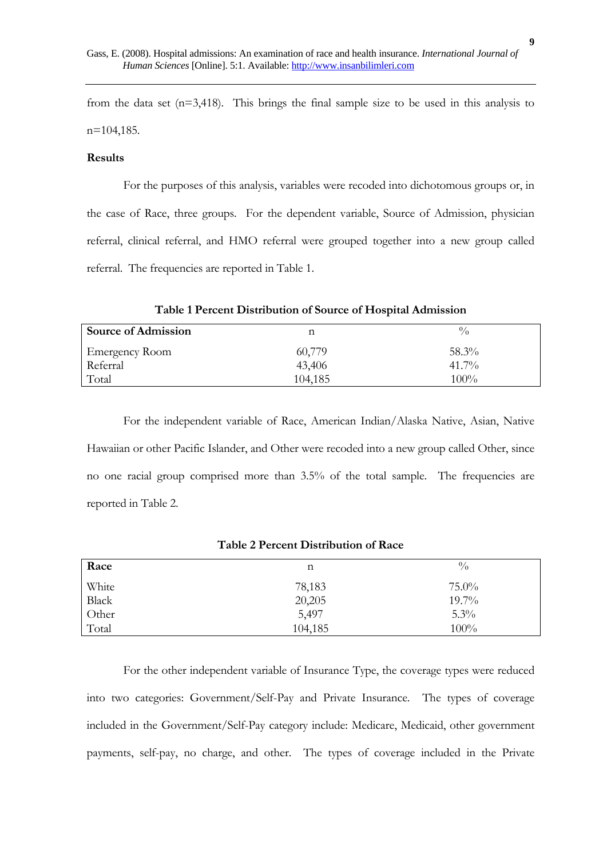from the data set (n=3,418). This brings the final sample size to be used in this analysis to n=104,185.

### **Results**

For the purposes of this analysis, variables were recoded into dichotomous groups or, in the case of Race, three groups. For the dependent variable, Source of Admission, physician referral, clinical referral, and HMO referral were grouped together into a new group called referral. The frequencies are reported in Table 1.

| <b>Source of Admission</b> |         | $\frac{0}{0}$ |
|----------------------------|---------|---------------|
| <b>Emergency Room</b>      | 60,779  | 58.3%         |
| Referral                   | 43,406  | $41.7\%$      |
| Total                      | 104,185 | $100\%$       |

**Table 1 Percent Distribution of Source of Hospital Admission** 

For the independent variable of Race, American Indian/Alaska Native, Asian, Native Hawaiian or other Pacific Islander, and Other were recoded into a new group called Other, since no one racial group comprised more than 3.5% of the total sample. The frequencies are reported in Table 2.

| Race         | n       | $\frac{0}{0}$ |
|--------------|---------|---------------|
| White        | 78,183  | $75.0\%$      |
| <b>Black</b> | 20,205  | $19.7\%$      |
| Other        | 5,497   | 5.3%          |
| Total        | 104,185 | 100%          |

### **Table 2 Percent Distribution of Race**

For the other independent variable of Insurance Type, the coverage types were reduced into two categories: Government/Self-Pay and Private Insurance. The types of coverage included in the Government/Self-Pay category include: Medicare, Medicaid, other government payments, self-pay, no charge, and other. The types of coverage included in the Private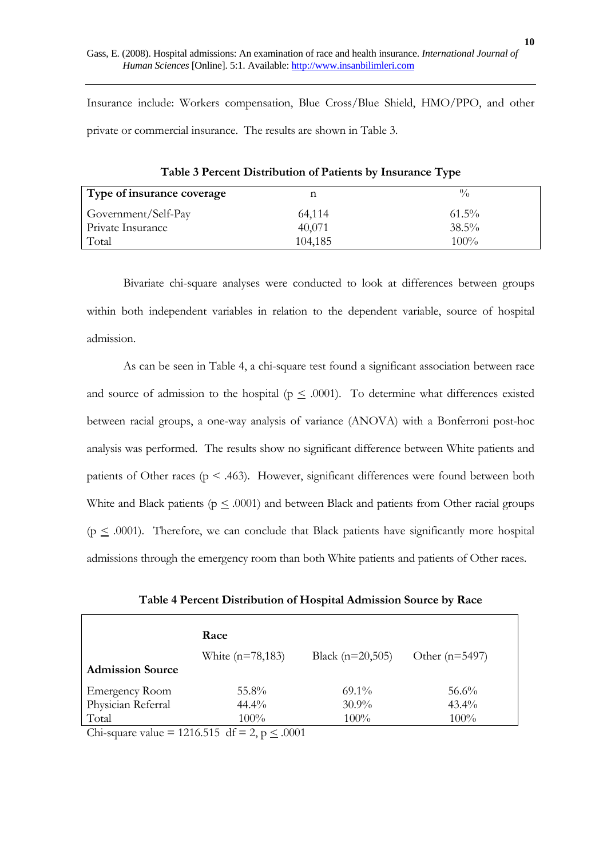Insurance include: Workers compensation, Blue Cross/Blue Shield, HMO/PPO, and other private or commercial insurance. The results are shown in Table 3.

| Type of insurance coverage |         | $^{0}/_{0}$ |
|----------------------------|---------|-------------|
| Government/Self-Pay        | 64,114  | $61.5\%$    |
| Private Insurance          | 40,071  | $38.5\%$    |
| Total                      | 104,185 | $100\%$     |

**Table 3 Percent Distribution of Patients by Insurance Type** 

Bivariate chi-square analyses were conducted to look at differences between groups within both independent variables in relation to the dependent variable, source of hospital admission.

As can be seen in Table 4, a chi-square test found a significant association between race and source of admission to the hospital ( $p \leq .0001$ ). To determine what differences existed between racial groups, a one-way analysis of variance (ANOVA) with a Bonferroni post-hoc analysis was performed. The results show no significant difference between White patients and patients of Other races ( $p < .463$ ). However, significant differences were found between both White and Black patients ( $p \leq .0001$ ) and between Black and patients from Other racial groups  $(p \leq .0001)$ . Therefore, we can conclude that Black patients have significantly more hospital admissions through the emergency room than both White patients and patients of Other races.

**Table 4 Percent Distribution of Hospital Admission Source by Race** 

|                         | Race                |                    |                  |
|-------------------------|---------------------|--------------------|------------------|
|                         | White $(n=78, 183)$ | Black $(n=20,505)$ | Other $(n=5497)$ |
| <b>Admission Source</b> |                     |                    |                  |
| <b>Emergency Room</b>   | $55.8\%$            | $69.1\%$           | $56.6\%$         |
| Physician Referral      | $44.4\%$            | $30.9\%$           | $43.4\%$         |
| Total                   | $100\%$             | $100\%$            | $100\%$          |

Chi-square value = 1216.515 df = 2,  $p \le 0.0001$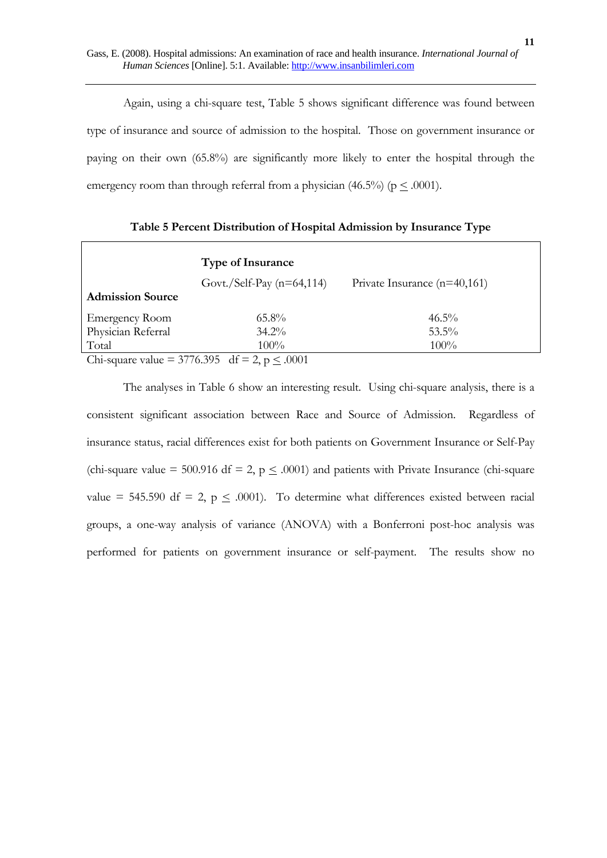Again, using a chi-square test, Table 5 shows significant difference was found between type of insurance and source of admission to the hospital. Those on government insurance or paying on their own (65.8%) are significantly more likely to enter the hospital through the emergency room than through referral from a physician  $(46.5\%)$  ( $p \leq .0001$ ).

**Type of Insurance**  Govt./Self-Pay (n=64,114) Private Insurance (n=40,161) **Admission Source**  Emergency Room 65.8% 46.5% Physician Referral 34.2% 53.5% Total  $100\%$ 

**Table 5 Percent Distribution of Hospital Admission by Insurance Type** 

Chi-square value = 3776.395 df = 2,  $p \le 0.0001$ 

The analyses in Table 6 show an interesting result. Using chi-square analysis, there is a consistent significant association between Race and Source of Admission. Regardless of insurance status, racial differences exist for both patients on Government Insurance or Self-Pay (chi-square value = 500.916 df = 2,  $p \leq .0001$ ) and patients with Private Insurance (chi-square value = 545.590 df = 2,  $p \leq .0001$ ). To determine what differences existed between racial groups, a one-way analysis of variance (ANOVA) with a Bonferroni post-hoc analysis was performed for patients on government insurance or self-payment. The results show no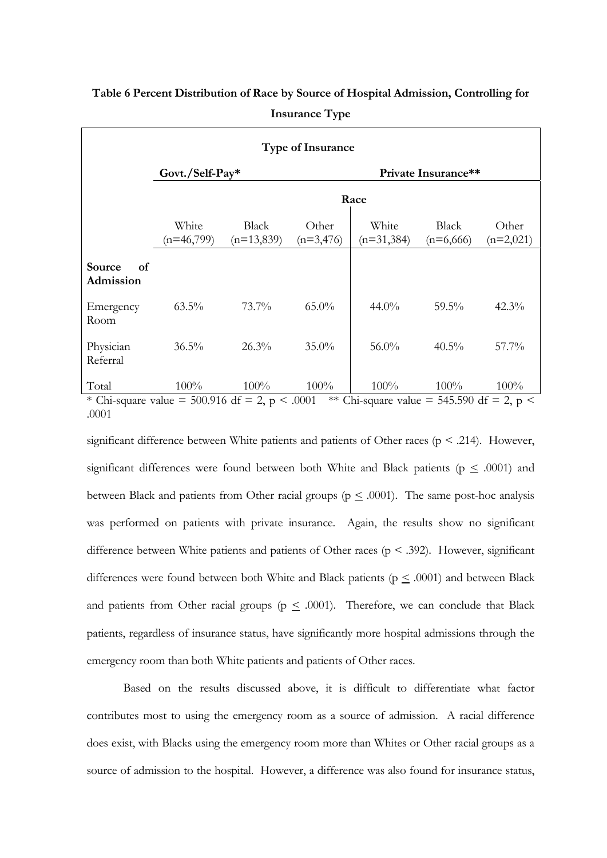| <b>Type of Insurance</b>                                                                                                                              |                       |                              |                      |                       |                             |                      |  |
|-------------------------------------------------------------------------------------------------------------------------------------------------------|-----------------------|------------------------------|----------------------|-----------------------|-----------------------------|----------------------|--|
|                                                                                                                                                       | Govt./Self-Pay*       |                              |                      |                       | Private Insurance**         |                      |  |
|                                                                                                                                                       |                       |                              |                      | Race                  |                             |                      |  |
|                                                                                                                                                       | White<br>$(n=46,799)$ | <b>Black</b><br>$(n=13,839)$ | Other<br>$(n=3,476)$ | White<br>$(n=31,384)$ | <b>Black</b><br>$(n=6,666)$ | Other<br>$(n=2,021)$ |  |
| Source<br>of<br>Admission                                                                                                                             |                       |                              |                      |                       |                             |                      |  |
| Emergency<br>Room                                                                                                                                     | $63.5\%$              | $73.7\%$                     | $65.0\%$             | $44.0\%$              | $59.5\%$                    | 42.3%                |  |
| Physician<br>Referral                                                                                                                                 | $36.5\%$              | 26.3%                        | $35.0\%$             | 56.0%                 | $40.5\%$                    | $57.7\%$             |  |
| Total<br>* $C_{\rm b}$ equator rates = $E(0.016 \text{ Hz}) = 2 \times 0.001$ ** $C_{\rm b}$ equator rates = $E(E[0.0016 = 2 \times 1.0001 = 0.0001]$ | $100\%$               | 100%                         | 100%                 | 100%                  | $100\%$                     | 100%                 |  |

# **Table 6 Percent Distribution of Race by Source of Hospital Admission, Controlling for Insurance Type**

Chi-square value = 500.916 df = 2, p < .0001 \*\* Chi-square value = 545.590 df = 2, p < .0001

significant difference between White patients and patients of Other races ( $p < .214$ ). However, significant differences were found between both White and Black patients ( $p \leq .0001$ ) and between Black and patients from Other racial groups ( $p \leq .0001$ ). The same post-hoc analysis was performed on patients with private insurance. Again, the results show no significant difference between White patients and patients of Other races ( $p < .392$ ). However, significant differences were found between both White and Black patients ( $p \leq .0001$ ) and between Black and patients from Other racial groups ( $p \leq .0001$ ). Therefore, we can conclude that Black patients, regardless of insurance status, have significantly more hospital admissions through the emergency room than both White patients and patients of Other races.

Based on the results discussed above, it is difficult to differentiate what factor contributes most to using the emergency room as a source of admission. A racial difference does exist, with Blacks using the emergency room more than Whites or Other racial groups as a source of admission to the hospital. However, a difference was also found for insurance status,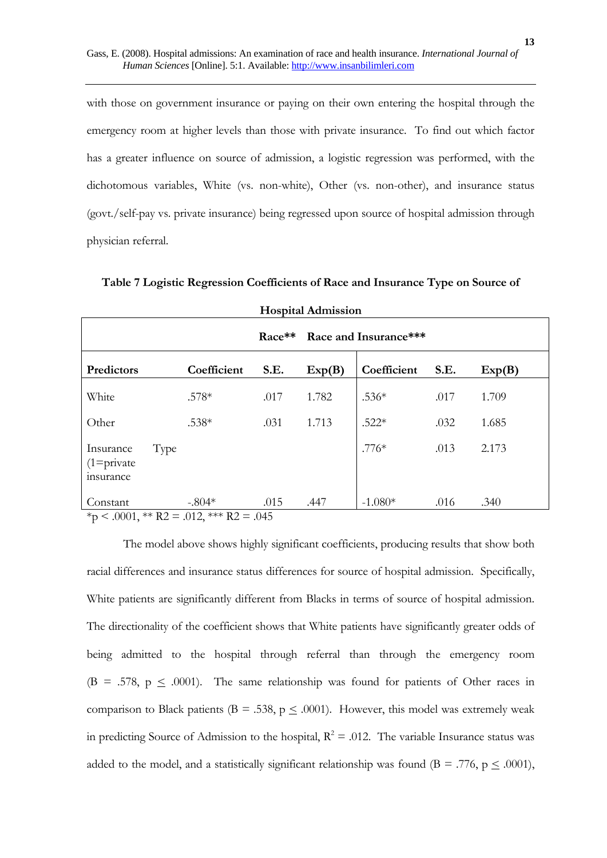with those on government insurance or paying on their own entering the hospital through the emergency room at higher levels than those with private insurance. To find out which factor has a greater influence on source of admission, a logistic regression was performed, with the dichotomous variables, White (vs. non-white), Other (vs. non-other), and insurance status (govt./self-pay vs. private insurance) being regressed upon source of hospital admission through physician referral.

| <b>Hospital Admission</b>                                                   |             |      |        |             |      |        |  |
|-----------------------------------------------------------------------------|-------------|------|--------|-------------|------|--------|--|
| Race**<br>Race and Insurance***                                             |             |      |        |             |      |        |  |
| Predictors                                                                  | Coefficient | S.E. | Exp(B) | Coefficient | S.E. | Exp(B) |  |
| White                                                                       | $.578*$     | .017 | 1.782  | $.536*$     | .017 | 1.709  |  |
| Other                                                                       | .538*       | .031 | 1.713  | $.522*$     | .032 | 1.685  |  |
| Type<br>Insurance<br>$(1 = private)$<br>insurance                           |             |      |        | $.776*$     | .013 | 2.173  |  |
| Constant<br>$\star$ > 0001 $\star\star$ DQ = 010 $\star\star\star$ DQ = 015 | $-.804*$    | .015 | .447   | $-1.080*$   | .016 | .340   |  |

**Table 7 Logistic Regression Coefficients of Race and Insurance Type on Source of** 

 $*<sub>p</sub> < .0001, ** R2 = .012, ** R2 = .045$ 

The model above shows highly significant coefficients, producing results that show both racial differences and insurance status differences for source of hospital admission. Specifically, White patients are significantly different from Blacks in terms of source of hospital admission. The directionality of the coefficient shows that White patients have significantly greater odds of being admitted to the hospital through referral than through the emergency room (B = .578,  $p \leq .0001$ ). The same relationship was found for patients of Other races in comparison to Black patients ( $B = .538$ ,  $p \le .0001$ ). However, this model was extremely weak in predicting Source of Admission to the hospital,  $R^2 = .012$ . The variable Insurance status was added to the model, and a statistically significant relationship was found ( $B = .776$ ,  $p \le .0001$ ),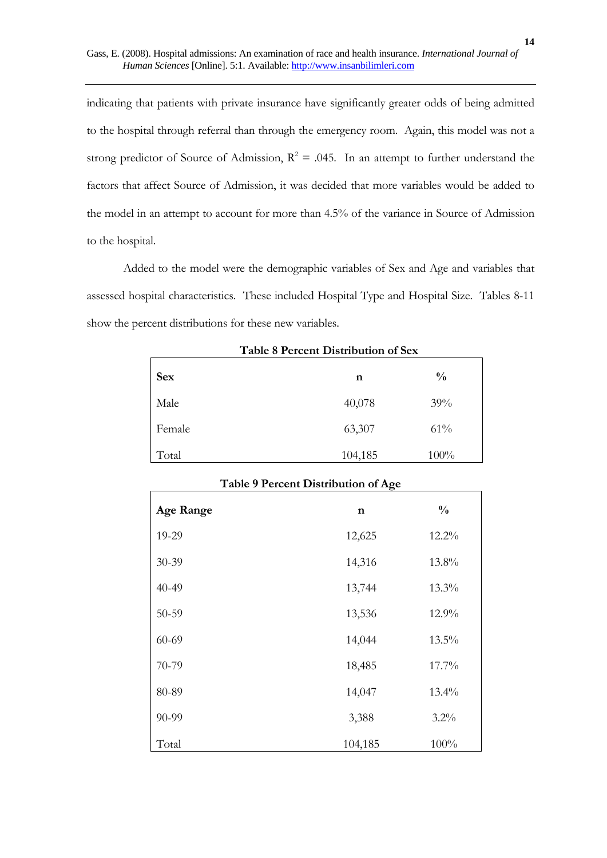indicating that patients with private insurance have significantly greater odds of being admitted to the hospital through referral than through the emergency room. Again, this model was not a strong predictor of Source of Admission,  $R^2 = .045$ . In an attempt to further understand the factors that affect Source of Admission, it was decided that more variables would be added to the model in an attempt to account for more than 4.5% of the variance in Source of Admission to the hospital.

Added to the model were the demographic variables of Sex and Age and variables that assessed hospital characteristics. These included Hospital Type and Hospital Size. Tables 8-11 show the percent distributions for these new variables.

| Twore o I creent Broundandii of och |         |               |  |  |  |  |
|-------------------------------------|---------|---------------|--|--|--|--|
| <b>Sex</b>                          | n       | $\frac{0}{0}$ |  |  |  |  |
| Male                                | 40,078  | 39%           |  |  |  |  |
| Female                              | 63,307  | 61%           |  |  |  |  |
| Total                               | 104,185 | $100\%$       |  |  |  |  |

**Table 8 Percent Distribution of Sex** 

| Table 9 Percent Distribution of Age |             |               |  |  |  |  |
|-------------------------------------|-------------|---------------|--|--|--|--|
| <b>Age Range</b>                    | $\mathbf n$ | $\frac{0}{0}$ |  |  |  |  |
| 19-29                               | 12,625      | 12.2%         |  |  |  |  |
| 30-39                               | 14,316      | 13.8%         |  |  |  |  |
| 40-49                               | 13,744      | 13.3%         |  |  |  |  |
| 50-59                               | 13,536      | 12.9%         |  |  |  |  |
| 60-69                               | 14,044      | 13.5%         |  |  |  |  |
| 70-79                               | 18,485      | 17.7%         |  |  |  |  |
| 80-89                               | 14,047      | 13.4%         |  |  |  |  |
| 90-99                               | 3,388       | $3.2\%$       |  |  |  |  |
| Total                               | 104,185     | 100%          |  |  |  |  |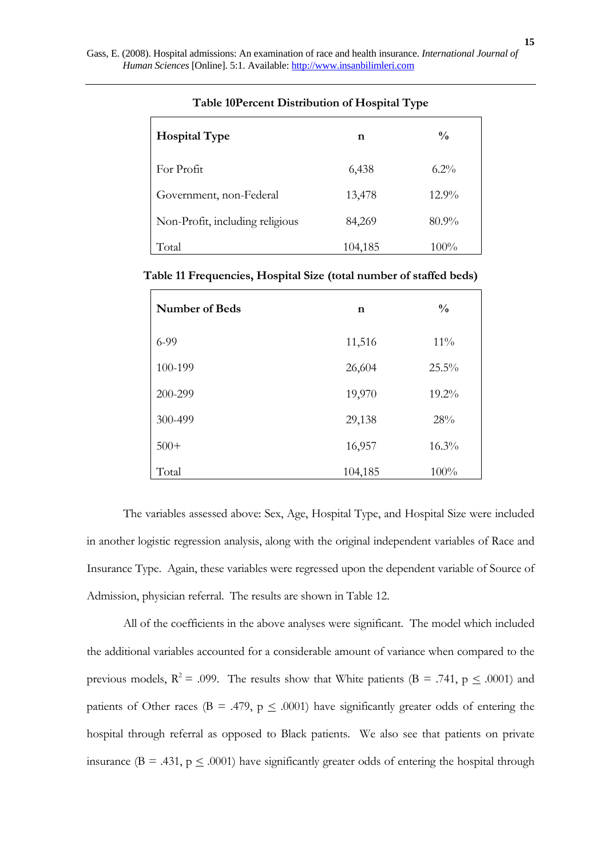| <b>Hospital Type</b>            | n       | $\frac{0}{0}$ |
|---------------------------------|---------|---------------|
| For Profit                      | 6,438   | $6.2\%$       |
| Government, non-Federal         | 13,478  | $12.9\%$      |
| Non-Profit, including religious | 84,269  | $80.9\%$      |
| Total                           | 104,185 | $100\%$       |

### **Table 10Percent Distribution of Hospital Type**

## **Table 11 Frequencies, Hospital Size (total number of staffed beds)**

| <b>Number of Beds</b> | n       | $\frac{0}{0}$ |
|-----------------------|---------|---------------|
| $6-99$                | 11,516  | $11\%$        |
| 100-199               | 26,604  | 25.5%         |
| 200-299               | 19,970  | 19.2%         |
| 300-499               | 29,138  | 28%           |
| $500+$                | 16,957  | 16.3%         |
| Total                 | 104,185 | 100%          |

The variables assessed above: Sex, Age, Hospital Type, and Hospital Size were included in another logistic regression analysis, along with the original independent variables of Race and Insurance Type. Again, these variables were regressed upon the dependent variable of Source of Admission, physician referral. The results are shown in Table 12.

All of the coefficients in the above analyses were significant. The model which included the additional variables accounted for a considerable amount of variance when compared to the previous models,  $R^2 = .099$ . The results show that White patients (B = .741, p  $\leq .0001$ ) and patients of Other races (B = .479,  $p \leq .0001$ ) have significantly greater odds of entering the hospital through referral as opposed to Black patients. We also see that patients on private insurance ( $B = .431$ ,  $p \le .0001$ ) have significantly greater odds of entering the hospital through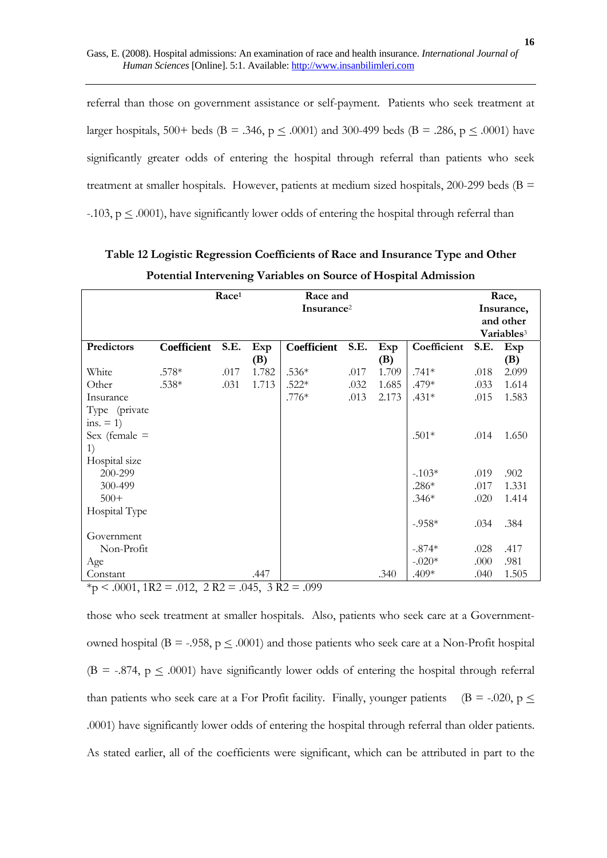referral than those on government assistance or self-payment. Patients who seek treatment at larger hospitals, 500+ beds (B = .346, p  $\leq$  .0001) and 300-499 beds (B = .286, p  $\leq$  .0001) have significantly greater odds of entering the hospital through referral than patients who seek treatment at smaller hospitals. However, patients at medium sized hospitals, 200-299 beds ( $B =$ -.103,  $p \leq .0001$ ), have significantly lower odds of entering the hospital through referral than

|                 |             | Race <sup>1</sup> | Race and<br>Insurance <sup>2</sup> |                    |      |       |             | Race,<br>Insurance,<br>and other<br>Variables <sup>3</sup> |       |
|-----------------|-------------|-------------------|------------------------------------|--------------------|------|-------|-------------|------------------------------------------------------------|-------|
| Predictors      | Coefficient | S.E.              | Exp                                | <b>Coefficient</b> | S.E. | Exp   | Coefficient | S.E.                                                       | Exp   |
|                 |             |                   | (B)                                |                    |      | (B)   |             |                                                            | (B)   |
| White           | $.578*$     | .017              | 1.782                              | $.536*$            | .017 | 1.709 | $.741*$     | .018                                                       | 2.099 |
| Other           | $.538*$     | .031              | 1.713                              | $.522*$            | .032 | 1.685 | .479*       | .033                                                       | 1.614 |
| Insurance       |             |                   |                                    | $.776*$            | .013 | 2.173 | $.431*$     | .015                                                       | 1.583 |
| Type (private   |             |                   |                                    |                    |      |       |             |                                                            |       |
| ins. $= 1$ )    |             |                   |                                    |                    |      |       |             |                                                            |       |
| Sex (female $=$ |             |                   |                                    |                    |      |       | $.501*$     | .014                                                       | 1.650 |
| 1)              |             |                   |                                    |                    |      |       |             |                                                            |       |
| Hospital size   |             |                   |                                    |                    |      |       |             |                                                            |       |
| 200-299         |             |                   |                                    |                    |      |       | $-.103*$    | .019                                                       | .902  |
| 300-499         |             |                   |                                    |                    |      |       | $.286*$     | .017                                                       | 1.331 |
| $500+$          |             |                   |                                    |                    |      |       | $.346*$     | .020                                                       | 1.414 |
| Hospital Type   |             |                   |                                    |                    |      |       |             |                                                            |       |
|                 |             |                   |                                    |                    |      |       | $-.958*$    | .034                                                       | .384  |
| Government      |             |                   |                                    |                    |      |       |             |                                                            |       |
| Non-Profit      |             |                   |                                    |                    |      |       | $-.874*$    | .028                                                       | .417  |
| Age             |             |                   |                                    |                    |      |       | $-.020*$    | .000                                                       | .981  |
| Constant        |             |                   | .447                               |                    |      | .340  | $.409*$     | .040                                                       | 1.505 |

| Table 12 Logistic Regression Coefficients of Race and Insurance Type and Other |  |
|--------------------------------------------------------------------------------|--|
| Potential Intervening Variables on Source of Hospital Admission                |  |

 $*<sub>p</sub> < .0001$ , 1R2 = .012, 2R2 = .045, 3R2 = .099

those who seek treatment at smaller hospitals. Also, patients who seek care at a Governmentowned hospital (B = -.958,  $p \leq .0001$ ) and those patients who seek care at a Non-Profit hospital (B = -.874,  $p \leq .0001$ ) have significantly lower odds of entering the hospital through referral than patients who seek care at a For Profit facility. Finally, younger patients (B = -.020, p  $\leq$ .0001) have significantly lower odds of entering the hospital through referral than older patients. As stated earlier, all of the coefficients were significant, which can be attributed in part to the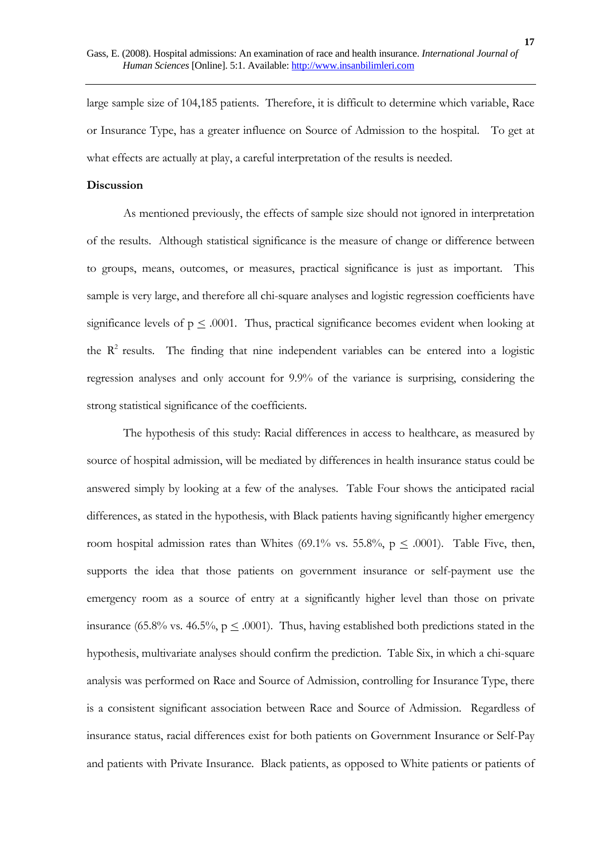large sample size of 104,185 patients. Therefore, it is difficult to determine which variable, Race or Insurance Type, has a greater influence on Source of Admission to the hospital. To get at what effects are actually at play, a careful interpretation of the results is needed.

### **Discussion**

As mentioned previously, the effects of sample size should not ignored in interpretation of the results. Although statistical significance is the measure of change or difference between to groups, means, outcomes, or measures, practical significance is just as important. This sample is very large, and therefore all chi-square analyses and logistic regression coefficients have significance levels of  $p \leq .0001$ . Thus, practical significance becomes evident when looking at the  $R<sup>2</sup>$  results. The finding that nine independent variables can be entered into a logistic regression analyses and only account for 9.9% of the variance is surprising, considering the strong statistical significance of the coefficients.

The hypothesis of this study: Racial differences in access to healthcare, as measured by source of hospital admission, will be mediated by differences in health insurance status could be answered simply by looking at a few of the analyses. Table Four shows the anticipated racial differences, as stated in the hypothesis, with Black patients having significantly higher emergency room hospital admission rates than Whites (69.1% vs. 55.8%,  $p \leq .0001$ ). Table Five, then, supports the idea that those patients on government insurance or self-payment use the emergency room as a source of entry at a significantly higher level than those on private insurance (65.8% vs. 46.5%,  $p \leq .0001$ ). Thus, having established both predictions stated in the hypothesis, multivariate analyses should confirm the prediction. Table Six, in which a chi-square analysis was performed on Race and Source of Admission, controlling for Insurance Type, there is a consistent significant association between Race and Source of Admission. Regardless of insurance status, racial differences exist for both patients on Government Insurance or Self-Pay and patients with Private Insurance. Black patients, as opposed to White patients or patients of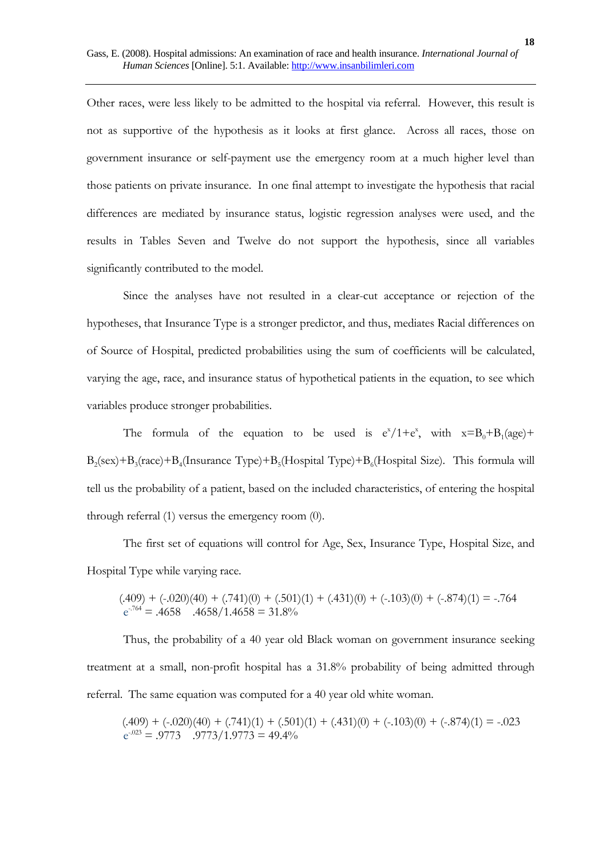Other races, were less likely to be admitted to the hospital via referral. However, this result is not as supportive of the hypothesis as it looks at first glance. Across all races, those on government insurance or self-payment use the emergency room at a much higher level than those patients on private insurance. In one final attempt to investigate the hypothesis that racial differences are mediated by insurance status, logistic regression analyses were used, and the results in Tables Seven and Twelve do not support the hypothesis, since all variables significantly contributed to the model.

Since the analyses have not resulted in a clear-cut acceptance or rejection of the hypotheses, that Insurance Type is a stronger predictor, and thus, mediates Racial differences on of Source of Hospital, predicted probabilities using the sum of coefficients will be calculated, varying the age, race, and insurance status of hypothetical patients in the equation, to see which variables produce stronger probabilities.

The formula of the equation to be used is  $e^{x}/1+e^{x}$ , with  $x=B_0+B_1(age)+$  $B_2$ (sex)+ $B_3$ (race)+ $B_4$ (Insurance Type)+ $B_5$ (Hospital Type)+ $B_6$ (Hospital Size). This formula will tell us the probability of a patient, based on the included characteristics, of entering the hospital through referral (1) versus the emergency room (0).

The first set of equations will control for Age, Sex, Insurance Type, Hospital Size, and Hospital Type while varying race.

$$
(.409) + (-.020)(40) + (.741)(0) + (.501)(1) + (.431)(0) + (-.103)(0) + (-.874)(1) = -.764
$$
  

$$
e^{-764} = .4658 \quad .4658/1.4658 = 31.8\%
$$

Thus, the probability of a 40 year old Black woman on government insurance seeking treatment at a small, non-profit hospital has a 31.8% probability of being admitted through referral. The same equation was computed for a 40 year old white woman.

$$
(.409) + (-.020)(40) + (.741)(1) + (.501)(1) + (.431)(0) + (-.103)(0) + (-.874)(1) = -.023
$$
  

$$
e^{-.023} = .9773 \quad .9773/1.9773 = 49.4\%
$$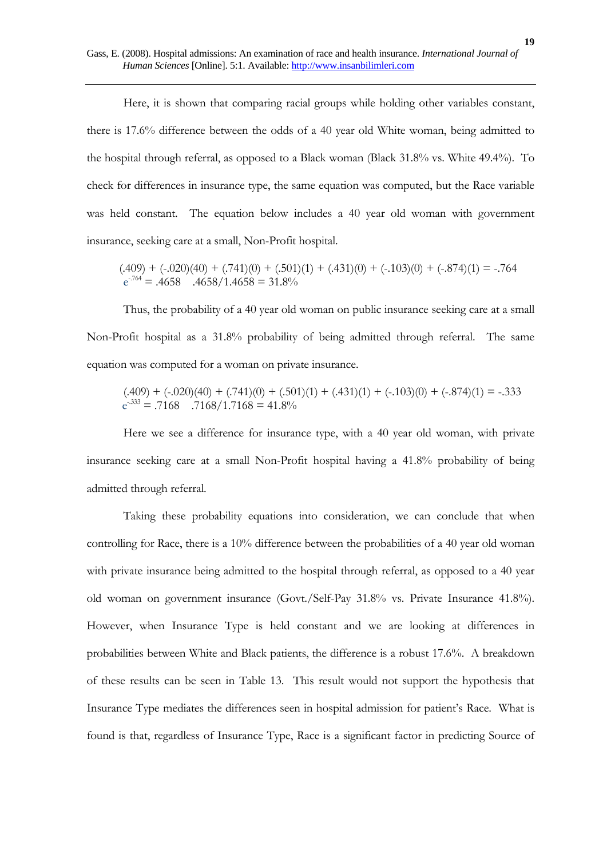Here, it is shown that comparing racial groups while holding other variables constant, there is 17.6% difference between the odds of a 40 year old White woman, being admitted to the hospital through referral, as opposed to a Black woman (Black 31.8% vs. White 49.4%). To check for differences in insurance type, the same equation was computed, but the Race variable was held constant. The equation below includes a 40 year old woman with government insurance, seeking care at a small, Non-Profit hospital.

$$
(.409) + (-.020)(40) + (.741)(0) + (.501)(1) + (.431)(0) + (-.103)(0) + (-.874)(1) = -.764
$$
  

$$
e^{-.764} = .4658 \quad .4658/1.4658 = 31.8\%
$$

Thus, the probability of a 40 year old woman on public insurance seeking care at a small Non-Profit hospital as a 31.8% probability of being admitted through referral. The same equation was computed for a woman on private insurance.

$$
(.409) + (-.020)(40) + (.741)(0) + (.501)(1) + (.431)(1) + (-.103)(0) + (-.874)(1) = -.333
$$
  

$$
e^{-333} = .7168 \quad .7168/1.7168 = 41.8\%
$$

Here we see a difference for insurance type, with a 40 year old woman, with private insurance seeking care at a small Non-Profit hospital having a 41.8% probability of being admitted through referral.

Taking these probability equations into consideration, we can conclude that when controlling for Race, there is a 10% difference between the probabilities of a 40 year old woman with private insurance being admitted to the hospital through referral, as opposed to a 40 year old woman on government insurance (Govt./Self-Pay 31.8% vs. Private Insurance 41.8%). However, when Insurance Type is held constant and we are looking at differences in probabilities between White and Black patients, the difference is a robust 17.6%. A breakdown of these results can be seen in Table 13. This result would not support the hypothesis that Insurance Type mediates the differences seen in hospital admission for patient's Race. What is found is that, regardless of Insurance Type, Race is a significant factor in predicting Source of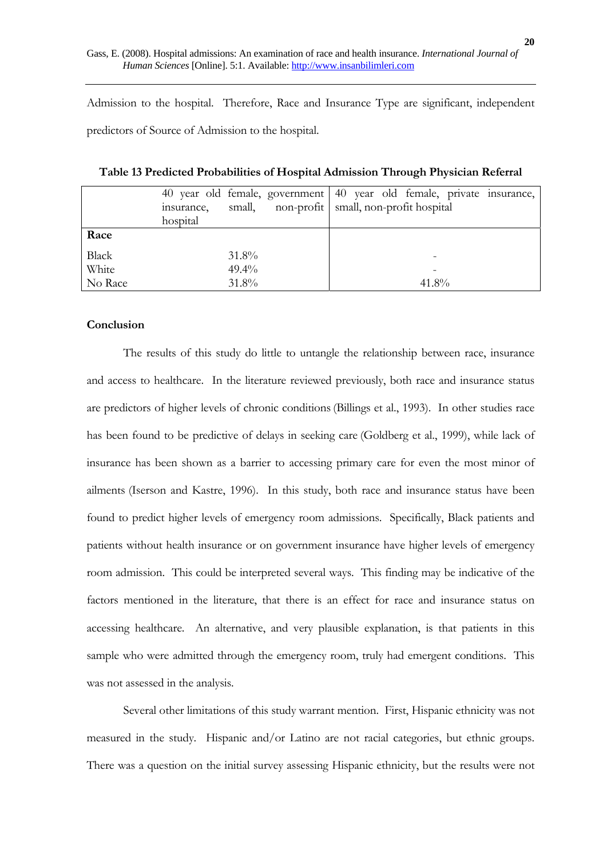Admission to the hospital. Therefore, Race and Insurance Type are significant, independent predictors of Source of Admission to the hospital.

|              |            |          | 40 year old female, government 40 year old female, private insurance, |                                                |  |  |       |  |  |
|--------------|------------|----------|-----------------------------------------------------------------------|------------------------------------------------|--|--|-------|--|--|
|              | insurance, |          |                                                                       | small, non-profit   small, non-profit hospital |  |  |       |  |  |
|              | hospital   |          |                                                                       |                                                |  |  |       |  |  |
| Race         |            |          |                                                                       |                                                |  |  |       |  |  |
| <b>Black</b> |            | 31.8%    |                                                                       |                                                |  |  |       |  |  |
|              |            |          |                                                                       |                                                |  |  |       |  |  |
| White        |            | $49.4\%$ |                                                                       |                                                |  |  |       |  |  |
| No Race      |            | 31.8%    |                                                                       |                                                |  |  | 41.8% |  |  |

**Table 13 Predicted Probabilities of Hospital Admission Through Physician Referral** 

### **Conclusion**

The results of this study do little to untangle the relationship between race, insurance and access to healthcare. In the literature reviewed previously, both race and insurance status are predictors of higher levels of chronic conditions(Billings et al., 1993). In other studies race has been found to be predictive of delays in seeking care (Goldberg et al., 1999), while lack of insurance has been shown as a barrier to accessing primary care for even the most minor of ailments (Iserson and Kastre, 1996). In this study, both race and insurance status have been found to predict higher levels of emergency room admissions. Specifically, Black patients and patients without health insurance or on government insurance have higher levels of emergency room admission. This could be interpreted several ways. This finding may be indicative of the factors mentioned in the literature, that there is an effect for race and insurance status on accessing healthcare. An alternative, and very plausible explanation, is that patients in this sample who were admitted through the emergency room, truly had emergent conditions. This was not assessed in the analysis.

Several other limitations of this study warrant mention. First, Hispanic ethnicity was not measured in the study. Hispanic and/or Latino are not racial categories, but ethnic groups. There was a question on the initial survey assessing Hispanic ethnicity, but the results were not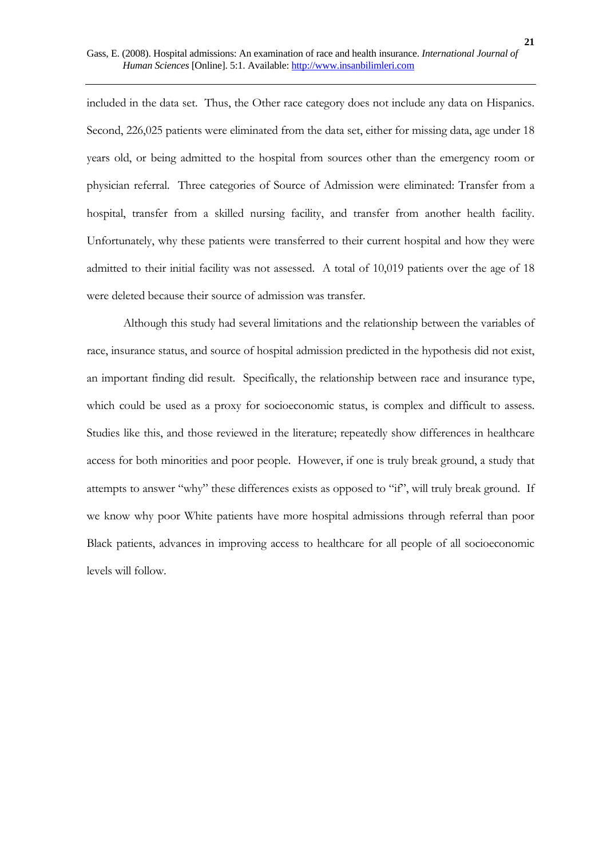included in the data set. Thus, the Other race category does not include any data on Hispanics. Second, 226,025 patients were eliminated from the data set, either for missing data, age under 18 years old, or being admitted to the hospital from sources other than the emergency room or physician referral. Three categories of Source of Admission were eliminated: Transfer from a hospital, transfer from a skilled nursing facility, and transfer from another health facility. Unfortunately, why these patients were transferred to their current hospital and how they were admitted to their initial facility was not assessed. A total of 10,019 patients over the age of 18 were deleted because their source of admission was transfer.

Although this study had several limitations and the relationship between the variables of race, insurance status, and source of hospital admission predicted in the hypothesis did not exist, an important finding did result. Specifically, the relationship between race and insurance type, which could be used as a proxy for socioeconomic status, is complex and difficult to assess. Studies like this, and those reviewed in the literature; repeatedly show differences in healthcare access for both minorities and poor people. However, if one is truly break ground, a study that attempts to answer "why" these differences exists as opposed to "if", will truly break ground. If we know why poor White patients have more hospital admissions through referral than poor Black patients, advances in improving access to healthcare for all people of all socioeconomic levels will follow.